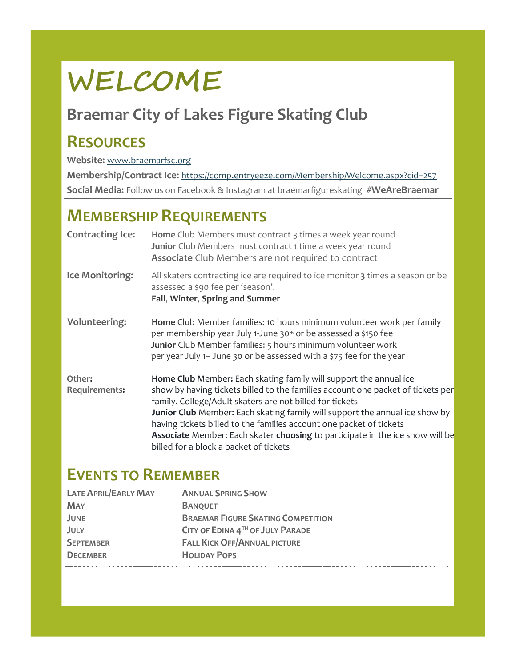# **WELCOME**

# **Braemar City of Lakes Figure Skating Club**

## **RESOURCES**

#### **Website:** [www.braemarfsc.org](http://www.braemarfsc.org/)

**Membership/Contract Ice:** <https://comp.entryeeze.com/Membership/Welcome.aspx?cid=257> **Social Media:** Follow us on Facebook & Instagram at braemarfigureskating **#WeAreBraemar**

### **MEMBERSHIP REQUIREMENTS**

| <b>Contracting Ice:</b> | Home Club Members must contract 3 times a week year round<br>Junior Club Members must contract 1 time a week year round<br>Associate Club Members are not required to contract                                                                                                                                                                                                                                                                                                                    |
|-------------------------|---------------------------------------------------------------------------------------------------------------------------------------------------------------------------------------------------------------------------------------------------------------------------------------------------------------------------------------------------------------------------------------------------------------------------------------------------------------------------------------------------|
| Ice Monitoring:         | All skaters contracting ice are required to ice monitor 3 times a season or be<br>assessed a \$90 fee per 'season'.<br>Fall, Winter, Spring and Summer                                                                                                                                                                                                                                                                                                                                            |
| <b>Volunteering:</b>    | Home Club Member families: 10 hours minimum volunteer work per family<br>per membership year July 1-June 30th or be assessed a \$150 fee<br>Junior Club Member families: 5 hours minimum volunteer work<br>per year July 1– June 30 or be assessed with a \$75 fee for the year                                                                                                                                                                                                                   |
| Other:<br>Requirements: | Home Club Member: Each skating family will support the annual ice<br>show by having tickets billed to the families account one packet of tickets per<br>family. College/Adult skaters are not billed for tickets<br>Junior Club Member: Each skating family will support the annual ice show by<br>having tickets billed to the families account one packet of tickets<br>Associate Member: Each skater choosing to participate in the ice show will be<br>billed for a block a packet of tickets |

#### **EVENTS TO REMEMBER**

| <b>LATE APRIL/EARLY MAY</b> | <b>ANNUAL SPRING SHOW</b>                 |
|-----------------------------|-------------------------------------------|
| <b>MAY</b>                  | <b>BANQUET</b>                            |
| <b>JUNE</b>                 | <b>BRAEMAR FIGURE SKATING COMPETITION</b> |
| JULY                        | CITY OF EDINA 4TH OF JULY PARADE          |
| <b>SEPTEMBER</b>            | <b>FALL KICK OFF/ANNUAL PICTURE</b>       |
| <b>DECEMBER</b>             | <b>HOLIDAY POPS</b>                       |
|                             |                                           |